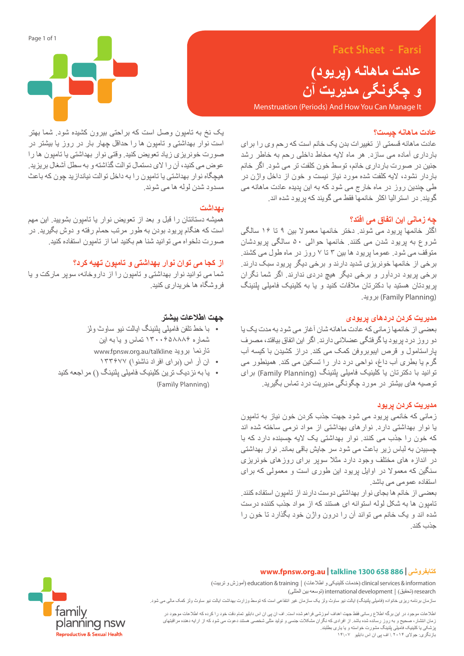# **Fact Sheet - Farsi**

**عادت ماهانه )پریود( و چگونگی مدیریت آن**

Menstruation (Periods) And How You Can Manage It

### **عادت ماهانه چیست؟**

عادت ماهانه قسمتی از تغییرات بدن یک خانم است که رحم وی را برای بارداری آماده می سازد. هر ماه الیه مخاط داخلی رحم به خاطر رشد جنین در صورت بارداری خانم، توسط خون کلفت تر می شود. اگر خانم باردار نشود، الیه کلفت شده مورد نیاز نیست و خون از داخل واژن در طی چندین روز در ماه خارج می شود که به این پدیده عادت ماهانه می گویند. در استرالیا اکثر خانمها فقط می گویند که پریود شده اند.

# **چه زمانی این اتفاق می افتد؟**

اگثر خانمها پریود می شوند. دختر خانمها معموال بین ۹ تا ۱۶ سالگی شروع به پریود شدن می کنند. خانمها حوالی ۵۰ سالگی پریودشان متوقف می شود. عموما پریود ها بین ۳ تا ۷ روز در ماه طول می کشند. برخی از خانمها خونریزی شدید دارند و برخی دیگر پریود سبک دارند. برخی پریود دردآور و برخی دیگر هیچ دردی ندارند. اگر شما نگران پریودتان هستید با دکترتان مالقات کنید و یا به کلینیک فامیلی پلنینگ .بروید( Family Planning(

#### **مدیریت کردن دردهای پریودی**

بعضی از خانمها زمانی که عادت ماهانه شان آغاز می شود به مدت یک یا دو روز درد پریود یا گرفتگی عضالنی دارند. اگر این اتفاق بیافتد، مصرف پاراستامول و قرص ایبوبروفن کمک می کند. دراز کشیدن با کیسه آب گرم یا بطری آب داغ، نواحی درد دار را تسکین می کند. همینطور می توانید با دکترتان یا کلینیک فامیلی پلنینگ )Planning Family )برای توصیه های بیشتر در مورد چگونگی مدیریت درد تماس بگیرید.

### **مدیریت کردن پریود**

زمانی که خانمی پریود می شود جهت جذب کردن خون نیاز به تامپون یا نوار بهداشتی دارد. نوارهای بهداشتی از مواد نرمی ساخته شده اند که خون را جذب می کنند. نوار بهداشتی یک الیه چسبنده دارد که با چسبیدن به لباس زیر باعث می شود سر جایش باقی بماند. نوار بهداشتی در اندازه های مختلف وجود دارد مثال سوپر برای روزهای خونریزی سنگین که معموال در اوایل پریود این طوری است و معمولی که برای استفاده عمومی می باشد.

بعضی از خانم ها بجای نوار بهداشتی دوست دارند از تامپون استفاده کنند. تامپون ها به شکل لوله استوانه ای هستند که از مواد جذب کننده درست شده اند و یک خانم می تواند آن را درون واژن خود بگذارد تا خون را جذب کند.



یک نخ به تامپون وصل است که براحتی بیرون کشیده شود. شما بهتر است نوار بهداشتی و تامپون ها را حداقل چهار بار در روز یا بیشتر در صورت خونریزی زیاد تعویض کنید. وقتی نوار بهداشتی یا تامپون ها را عوض می کنید، آن را الی دستمال توالت گذاشته و به سطل آشغال بریزید. هیچگاه نوار بهداشتی یا تامپون را به داخل توالت نیاندازید چون که باعث مسدود شدن لوله ها می شوند.

### **بهداشت**

همیشه دستانتان را قبل و بعد از تعویض نوار یا تامپون بشویید. این مهم است که هنگام پریود بودن به طور مرتب حمام رفته و دوش بگیرید. در صورت دلخواه می توانید شنا هم بکنید اما از تامپون استفاده کنید.

# **از کجا می توان نوار بهداشتی و تامپون تهیه کرد؟**

شما می توانید نوار بهداشتی و تامپون را از داروخانه، سوپر مارکت و یا فروشگاه ها خریداری کنید.

### **جهت اطالعات بیشتر**

- با خط تلفن فامیلی پلنینگ ایالت نیو ساوث ولز شماره ۱۳۰۰۶۵۸۸۸۶ تماس و یا به این www.fpnsw.org.au/talkline بروید تارنما
	- ان آر اس )برای افراد ناشنوا( ۱۳۳۶۷۷
- یا به نزدیک ترین کلینیک فامیلی پلنینگ )( مراجعه کنید (Family Planning)

# **www.fpnsw.org.au | talkline 1300 658 886 | کتابفروشی**

information & services clinical( خدمات کلینیکی و اطالعات( | training & education( آموزش و تربیت( research (توسعه بین المللی) international development | توسعه بین المللی)

ساز مان برنامه ریزی خانواده (فامیلی پلنینگ) ایالت نیو ساوث ولز یک سازمان غیر انتفاعی است که توسط وزارت بهداشت ایالت نیو ساوث ولز کمک مالی می شود.

اطالعات موجود در این برگه اطالع رسانی فقط جهت اهداف آموزشی فراهم شده است. اف ان پی ان اس دابلیو تمام دقت خود را کرده که اطالعات موجود در زمان انتشار، صحیح و به روز رسانده شده باشد. از افرادی که نگران مشکالت جنسی و تولید مثلی شخصی هستند دعوت می شود که از ارایه دهنده مراقبتهای پزشکی یا کلینیک فامیلی پلنینگ مشورت خواسته و یا یاری بطلبند. بازنگری: جوالی ۲۰۱۴ \ اف پی ان اس دابلیو ۰۷\۱۴